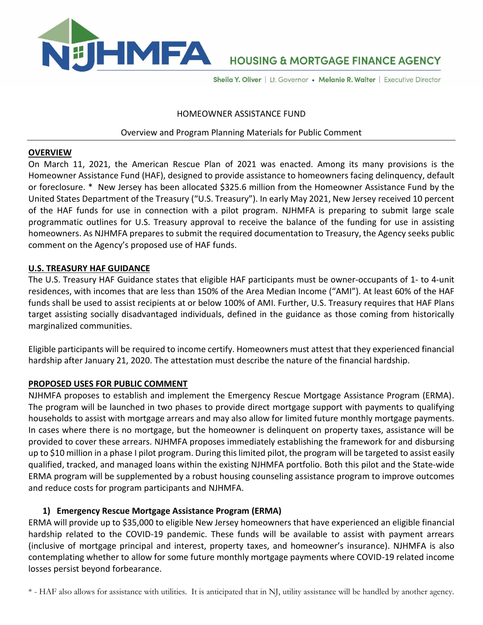

# **HOUSING & MORTGAGE FINANCE AGENCY**

Sheila Y. Oliver | Lt. Governor • Melanie R. Walter | Executive Director

#### HOMEOWNER ASSISTANCE FUND

### Overview and Program Planning Materials for Public Comment

#### **OVERVIEW**

On March 11, 2021, the American Rescue Plan of 2021 was enacted. Among its many provisions is the Homeowner Assistance Fund (HAF), designed to provide assistance to homeowners facing delinquency, default or foreclosure. \* New Jersey has been allocated \$325.6 million from the Homeowner Assistance Fund by the United States Department of the Treasury ("U.S. Treasury"). In early May 2021, New Jersey received 10 percent of the HAF funds for use in connection with a pilot program. NJHMFA is preparing to submit large scale programmatic outlines for U.S. Treasury approval to receive the balance of the funding for use in assisting homeowners. As NJHMFA prepares to submit the required documentation to Treasury, the Agency seeks public comment on the Agency's proposed use of HAF funds.

#### **U.S. TREASURY HAF GUIDANCE**

The U.S. Treasury HAF Guidance states that eligible HAF participants must be owner-occupants of 1- to 4-unit residences, with incomes that are less than 150% of the Area Median Income ("AMI"). At least 60% of the HAF funds shall be used to assist recipients at or below 100% of AMI. Further, U.S. Treasury requires that HAF Plans target assisting socially disadvantaged individuals, defined in the guidance as those coming from historically marginalized communities.

Eligible participants will be required to income certify. Homeowners must attest that they experienced financial hardship after January 21, 2020. The attestation must describe the nature of the financial hardship.

## **PROPOSED USES FOR PUBLIC COMMENT**

NJHMFA proposes to establish and implement the Emergency Rescue Mortgage Assistance Program (ERMA). The program will be launched in two phases to provide direct mortgage support with payments to qualifying households to assist with mortgage arrears and may also allow for limited future monthly mortgage payments. In cases where there is no mortgage, but the homeowner is delinquent on property taxes, assistance will be provided to cover these arrears. NJHMFA proposes immediately establishing the framework for and disbursing up to \$10 million in a phase I pilot program. During this limited pilot, the program will be targeted to assist easily qualified, tracked, and managed loans within the existing NJHMFA portfolio. Both this pilot and the State-wide ERMA program will be supplemented by a robust housing counseling assistance program to improve outcomes and reduce costs for program participants and NJHMFA.

## **1) Emergency Rescue Mortgage Assistance Program (ERMA)**

ERMA will provide up to \$35,000 to eligible New Jersey homeowners that have experienced an eligible financial hardship related to the COVID-19 pandemic. These funds will be available to assist with payment arrears (inclusive of mortgage principal and interest, property taxes, and homeowner's insurance). NJHMFA is also contemplating whether to allow for some future monthly mortgage payments where COVID-19 related income losses persist beyond forbearance.

\* - HAF also allows for assistance with utilities. It is anticipated that in NJ, utility assistance will be handled by another agency.